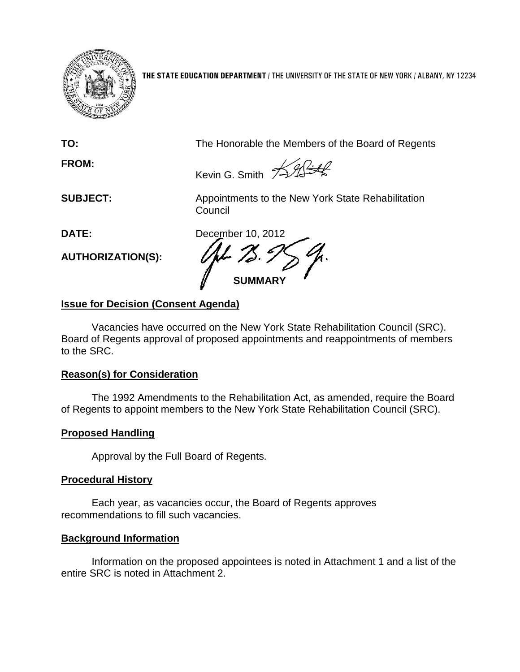

**THE STATE EDUCATION DEPARTMENT** / THE UNIVERSITY OF THE STATE OF NEW YORK / ALBANY, NY 12234

**FROM:**

**TO:** The Honorable the Members of the Board of Regents

Kevin G. Smith <del>/ 11 1 1</del>

**SUBJECT:** Appointments to the New York State Rehabilitation **Council** 

**AUTHORIZATION(S):**

**DATE:** December 10, 2012 **SUMMARY**

# **Issue for Decision (Consent Agenda)**

Vacancies have occurred on the New York State Rehabilitation Council (SRC). Board of Regents approval of proposed appointments and reappointments of members to the SRC.

# **Reason(s) for Consideration**

The 1992 Amendments to the Rehabilitation Act, as amended, require the Board of Regents to appoint members to the New York State Rehabilitation Council (SRC).

# **Proposed Handling**

Approval by the Full Board of Regents.

# **Procedural History**

Each year, as vacancies occur, the Board of Regents approves recommendations to fill such vacancies.

# **Background Information**

Information on the proposed appointees is noted in Attachment 1 and a list of the entire SRC is noted in Attachment 2.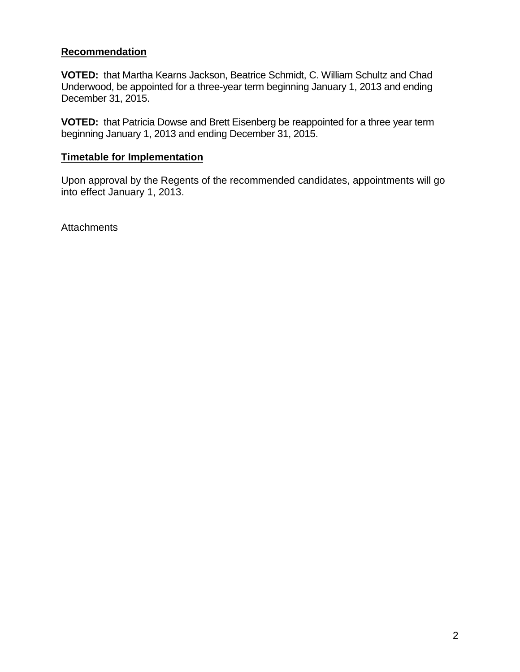## **Recommendation**

**VOTED:** that Martha Kearns Jackson, Beatrice Schmidt, C. William Schultz and Chad Underwood, be appointed for a three-year term beginning January 1, 2013 and ending December 31, 2015.

**VOTED:** that Patricia Dowse and Brett Eisenberg be reappointed for a three year term beginning January 1, 2013 and ending December 31, 2015.

# **Timetable for Implementation**

Upon approval by the Regents of the recommended candidates, appointments will go into effect January 1, 2013.

**Attachments**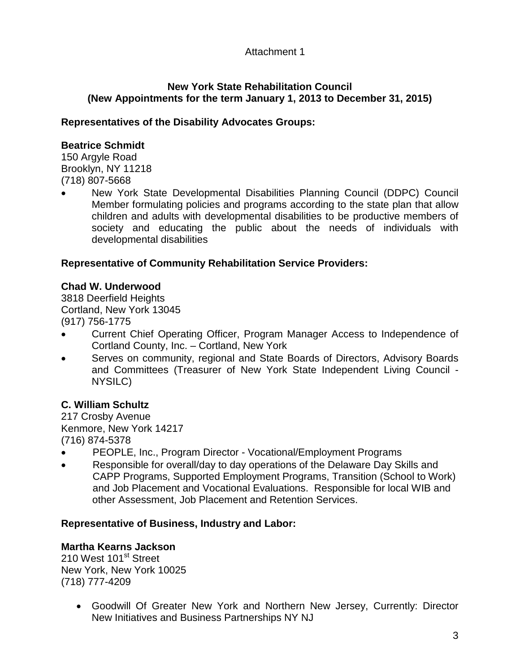## Attachment 1

## **New York State Rehabilitation Council (New Appointments for the term January 1, 2013 to December 31, 2015)**

## **Representatives of the Disability Advocates Groups:**

## **Beatrice Schmidt**

150 Argyle Road Brooklyn, NY 11218 (718) 807-5668

• New York State Developmental Disabilities Planning Council (DDPC) Council Member formulating policies and programs according to the state plan that allow children and adults with developmental disabilities to be productive members of society and educating the public about the needs of individuals with developmental disabilities

## **Representative of Community Rehabilitation Service Providers:**

## **Chad W. Underwood**

3818 Deerfield Heights Cortland, New York 13045 (917) 756-1775

- Current Chief Operating Officer, Program Manager Access to Independence of Cortland County, Inc. – Cortland, New York
- Serves on community, regional and State Boards of Directors, Advisory Boards and Committees (Treasurer of New York State Independent Living Council - NYSILC)

# **C. William Schultz**

217 Crosby Avenue Kenmore, New York 14217 (716) 874-5378

- PEOPLE, Inc., Program Director Vocational/Employment Programs
- Responsible for overall/day to day operations of the Delaware Day Skills and CAPP Programs, Supported Employment Programs, Transition (School to Work) and Job Placement and Vocational Evaluations. Responsible for local WIB and other Assessment, Job Placement and Retention Services.

### **Representative of Business, Industry and Labor:**

### **Martha Kearns Jackson**

210 West 101<sup>st</sup> Street New York, New York 10025 (718) 777-4209

> • Goodwill Of Greater New York and Northern New Jersey, Currently: Director New Initiatives and Business Partnerships NY NJ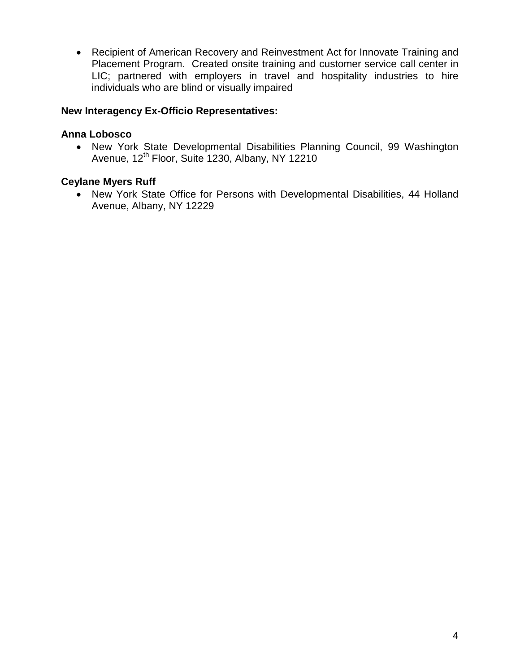• Recipient of American Recovery and Reinvestment Act for Innovate Training and Placement Program.Created onsite training and customer service call center in LIC; partnered with employers in travel and hospitality industries to hire individuals who are blind or visually impaired

## **New Interagency Ex-Officio Representatives:**

### **Anna Lobosco**

• New York State Developmental Disabilities Planning Council, 99 Washington Avenue, 12<sup>th</sup> Floor, Suite 1230, Albany, NY 12210

## **Ceylane Myers Ruff**

• New York State Office for Persons with Developmental Disabilities, 44 Holland Avenue, Albany, NY 12229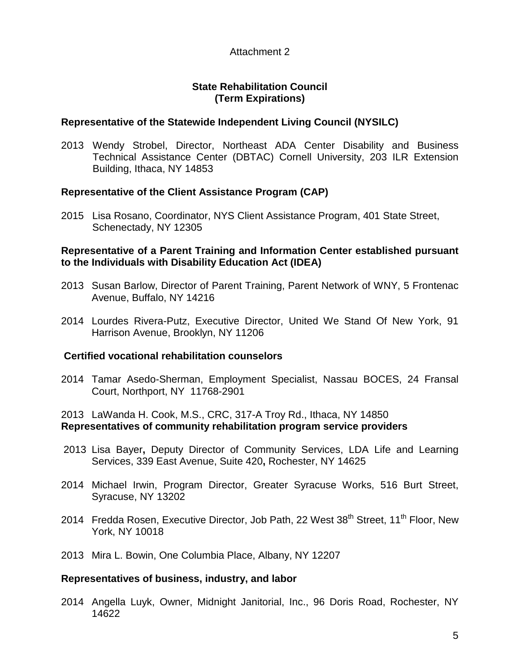### Attachment 2

## **State Rehabilitation Council (Term Expirations)**

## **Representative of the Statewide Independent Living Council (NYSILC)**

2013 Wendy Strobel, Director, Northeast ADA Center Disability and Business Technical Assistance Center (DBTAC) Cornell University, 203 ILR Extension Building, Ithaca, NY 14853

# **Representative of the Client Assistance Program (CAP)**

2015 Lisa Rosano, Coordinator, NYS Client Assistance Program, 401 State Street, Schenectady, NY 12305

#### **Representative of a Parent Training and Information Center established pursuant to the Individuals with Disability Education Act (IDEA)**

- 2013 Susan Barlow, Director of Parent Training, Parent Network of WNY, 5 Frontenac Avenue, Buffalo, NY 14216
- 2014 Lourdes Rivera-Putz, Executive Director, United We Stand Of New York, 91 Harrison Avenue, Brooklyn, NY 11206

### **Certified vocational rehabilitation counselors**

2014 Tamar Asedo-Sherman, Employment Specialist, Nassau BOCES, 24 Fransal Court, Northport, NY 11768-2901

### 2013 LaWanda H. Cook, M.S., CRC, 317-A Troy Rd., Ithaca, NY 14850 **Representatives of community rehabilitation program service providers**

- 2013 Lisa Bayer**,** Deputy Director of Community Services, LDA Life and Learning Services, 339 East Avenue, Suite 420**,** Rochester, NY 14625
- 2014 Michael Irwin, Program Director, Greater Syracuse Works, 516 Burt Street, Syracuse, NY 13202
- 2014 Fredda Rosen, Executive Director, Job Path, 22 West 38<sup>th</sup> Street, 11<sup>th</sup> Floor, New York, NY 10018
- 2013 Mira L. Bowin, One Columbia Place, Albany, NY 12207

### **Representatives of business, industry, and labor**

2014 Angella Luyk, Owner, Midnight Janitorial, Inc., 96 Doris Road, Rochester, NY 14622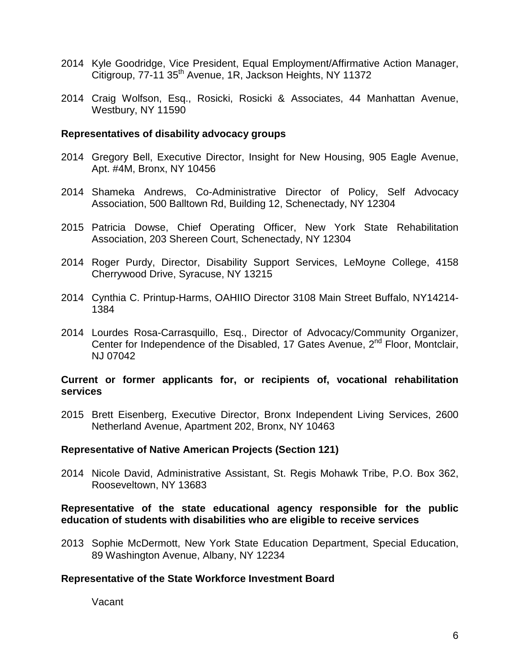- 2014 Kyle Goodridge, Vice President, Equal Employment/Affirmative Action Manager, Citigroup, 77-11 35<sup>th</sup> Avenue, 1R, Jackson Heights, NY 11372
- 2014 Craig Wolfson, Esq., Rosicki, Rosicki & Associates, 44 Manhattan Avenue, Westbury, NY 11590

#### **Representatives of disability advocacy groups**

- 2014 Gregory Bell, Executive Director, Insight for New Housing, 905 Eagle Avenue, Apt. #4M, Bronx, NY 10456
- 2014 Shameka Andrews, Co-Administrative Director of Policy, Self Advocacy Association, 500 Balltown Rd, Building 12, Schenectady, NY 12304
- 2015 Patricia Dowse, Chief Operating Officer, New York State Rehabilitation Association, 203 Shereen Court, Schenectady, NY 12304
- 2014 Roger Purdy, Director, Disability Support Services, LeMoyne College, 4158 Cherrywood Drive, Syracuse, NY 13215
- 2014 Cynthia C. Printup-Harms, OAHIIO Director 3108 Main Street Buffalo, NY14214- 1384
- 2014 Lourdes Rosa-Carrasquillo, Esq., Director of Advocacy/Community Organizer, Center for Independence of the Disabled, 17 Gates Avenue, 2<sup>nd</sup> Floor, Montclair, NJ 07042

#### **Current or former applicants for, or recipients of, vocational rehabilitation services**

2015 Brett Eisenberg, Executive Director, Bronx Independent Living Services, 2600 Netherland Avenue, Apartment 202, Bronx, NY 10463

#### **Representative of Native American Projects (Section 121)**

2014 Nicole David, Administrative Assistant, St. Regis Mohawk Tribe, P.O. Box 362, Rooseveltown, NY 13683

#### **Representative of the state educational agency responsible for the public education of students with disabilities who are eligible to receive services**

2013 Sophie McDermott, New York State Education Department, Special Education, 89 Washington Avenue, Albany, NY 12234

#### **Representative of the State Workforce Investment Board**

Vacant